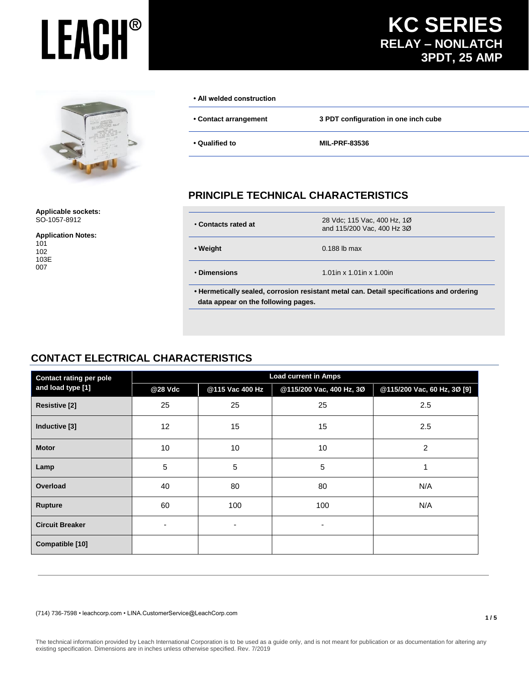## **KC SERIES RELAY – NONLATCH 3PDT, 25 AMP**

**1 / 5**



**Applicable sockets:** SO-1057-8912

**Application Notes:**

#### **• All welded construction**

**• Contact arrangement 3 PDT configuration in one inch cube**

**• Qualified to MIL-PRF-83536**

## **PRINCIPLE TECHNICAL CHARACTERISTICS**

| • Contacts rated at                                                                      | 28 Vdc; 115 Vac, 400 Hz, 1Ø<br>and 115/200 Vac, 400 Hz 3Ø |  |
|------------------------------------------------------------------------------------------|-----------------------------------------------------------|--|
| • Weight                                                                                 | $0.188$ lb max                                            |  |
| • Dimensions                                                                             | 1.01 in $x$ 1.01 in $x$ 1.00 in                           |  |
| • Hermetically sealed, corrosion resistant metal can. Detail specifications and ordering |                                                           |  |

## **CONTACT ELECTRICAL CHARACTERISTICS**

| <b>Contact rating per pole</b> | <b>Load current in Amps</b> |                 |                          |                             |  |
|--------------------------------|-----------------------------|-----------------|--------------------------|-----------------------------|--|
| and load type [1]              | @28 Vdc                     | @115 Vac 400 Hz | @115/200 Vac, 400 Hz, 3Ø | @115/200 Vac, 60 Hz, 3Ø [9] |  |
| <b>Resistive [2]</b>           | 25                          | 25              | 25                       | 2.5                         |  |
| Inductive [3]                  | 12                          | 15              | 15                       | 2.5                         |  |
| <b>Motor</b>                   | 10                          | 10              | 10                       | $\overline{c}$              |  |
| Lamp                           | 5                           | 5               | 5                        |                             |  |
| Overload                       | 40                          | 80              | 80                       | N/A                         |  |
| Rupture                        | 60                          | 100             | 100                      | N/A                         |  |
| <b>Circuit Breaker</b>         | ٠                           | -               | $\overline{\phantom{a}}$ |                             |  |
| Compatible [10]                |                             |                 |                          |                             |  |

 **data appear on the following pages.**

(714) 736-7598 • leachcorp.com • LINA.CustomerService@LeachCorp.com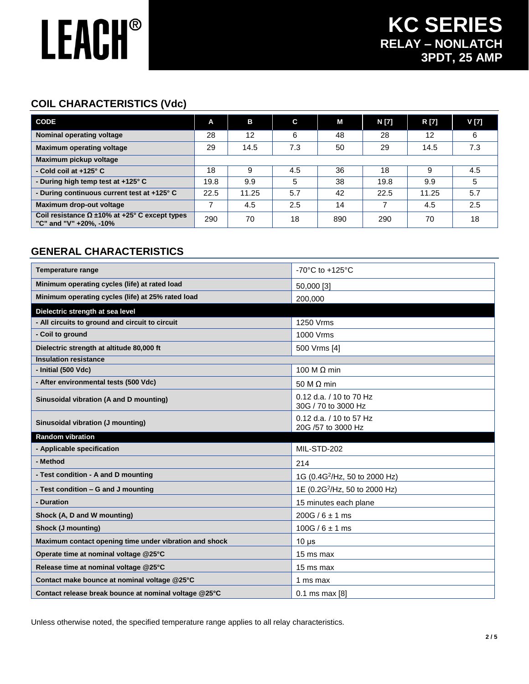## **COIL CHARACTERISTICS (Vdc)**

| <b>CODE</b>                                                                        | A    | в     | C   | М   | N [7] | R [7] | V [7] |
|------------------------------------------------------------------------------------|------|-------|-----|-----|-------|-------|-------|
| Nominal operating voltage                                                          | 28   | 12    | 6   | 48  | 28    | 12    | 6     |
| <b>Maximum operating voltage</b>                                                   | 29   | 14.5  | 7.3 | 50  | 29    | 14.5  | 7.3   |
| Maximum pickup voltage                                                             |      |       |     |     |       |       |       |
| - Cold coil at $+125^\circ$ C                                                      | 18   | 9     | 4.5 | 36  | 18    | 9     | 4.5   |
| - During high temp test at +125° C                                                 | 19.8 | 9.9   | 5   | 38  | 19.8  | 9.9   | 5     |
| - During continuous current test at +125° C                                        | 22.5 | 11.25 | 5.7 | 42  | 22.5  | 11.25 | 5.7   |
| Maximum drop-out voltage                                                           |      | 4.5   | 2.5 | 14  |       | 4.5   | 2.5   |
| Coil resistance $\Omega \pm 10\%$ at +25° C except types<br>"C" and "V" +20%, -10% | 290  | 70    | 18  | 890 | 290   | 70    | 18    |

## **GENERAL CHARACTERISTICS**

| <b>Temperature range</b>                               | -70 $^{\circ}$ C to +125 $^{\circ}$ C              |
|--------------------------------------------------------|----------------------------------------------------|
| Minimum operating cycles (life) at rated load          | 50,000 [3]                                         |
| Minimum operating cycles (life) at 25% rated load      | 200,000                                            |
| Dielectric strength at sea level                       |                                                    |
| - All circuits to ground and circuit to circuit        | 1250 Vrms                                          |
| - Coil to ground                                       | 1000 Vrms                                          |
| Dielectric strength at altitude 80,000 ft              | 500 Vrms [4]                                       |
| <b>Insulation resistance</b>                           |                                                    |
| - Initial (500 Vdc)                                    | 100 M $\Omega$ min                                 |
| - After environmental tests (500 Vdc)                  | 50 M $\Omega$ min                                  |
| Sinusoidal vibration (A and D mounting)                | $0.12$ d.a. $/ 10$ to 70 Hz<br>30G / 70 to 3000 Hz |
| Sinusoidal vibration (J mounting)                      | 0.12 d.a. / 10 to 57 Hz                            |
|                                                        | 20G /57 to 3000 Hz                                 |
| Random vibration                                       |                                                    |
| - Applicable specification                             | MIL-STD-202                                        |
| - Method                                               | 214                                                |
| - Test condition - A and D mounting                    | 1G (0.4G <sup>2</sup> /Hz, 50 to 2000 Hz)          |
| - Test condition - G and J mounting                    | 1E (0.2G <sup>2</sup> /Hz, 50 to 2000 Hz)          |
| - Duration                                             | 15 minutes each plane                              |
| Shock (A, D and W mounting)                            | $200G / 6 \pm 1$ ms                                |
| Shock (J mounting)                                     | $100G / 6 \pm 1$ ms                                |
| Maximum contact opening time under vibration and shock | $10 \mu s$                                         |
| Operate time at nominal voltage @25°C                  | 15 ms max                                          |
| Release time at nominal voltage @25°C                  | 15 ms max                                          |
| Contact make bounce at nominal voltage @25°C           | 1 ms max                                           |

Unless otherwise noted, the specified temperature range applies to all relay characteristics.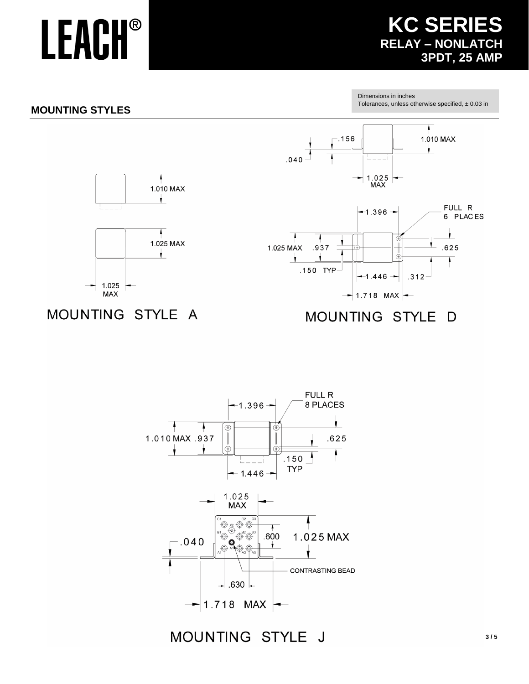## **KC SERIES RELAY - NONLATCH 3PDT, 25 AMP**

## **MOUNTING STYLES**

Dimensions in inches Tolerances, unless otherwise specified,  $\pm$  0.03 in



## MOUNTING STYLE A

#### MOUNTING STYLE D

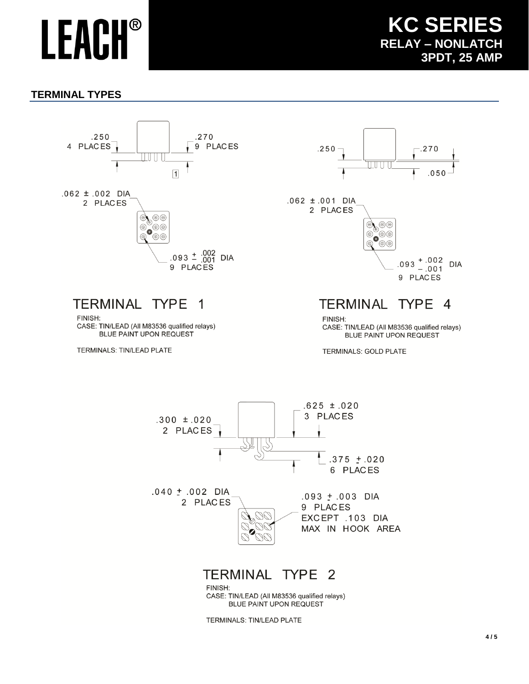**KC SERIES RELAY – NONLATCH 3PDT, 25 AMP**

### **TERMINAL TYPES**



#### TERMINAL TYPE  $\overline{1}$

FINISH: CASE: TIN/LEAD (All M83536 qualified relays) BLUE PAINT UPON REQUEST

**TERMINALS: TIN/LEAD PLATE** 





## **TERMINAL TYPE 4**

FINISH: CASE: TIN/LEAD (All M83536 qualified relays) BLUE PAINT UPON REQUEST

TERMINALS: GOLD PLATE



CASE: TIN/LEAD (All M83536 qualified relays) BLUE PAINT UPON REQUEST

TERMINALS: TIN/LEAD PLATE